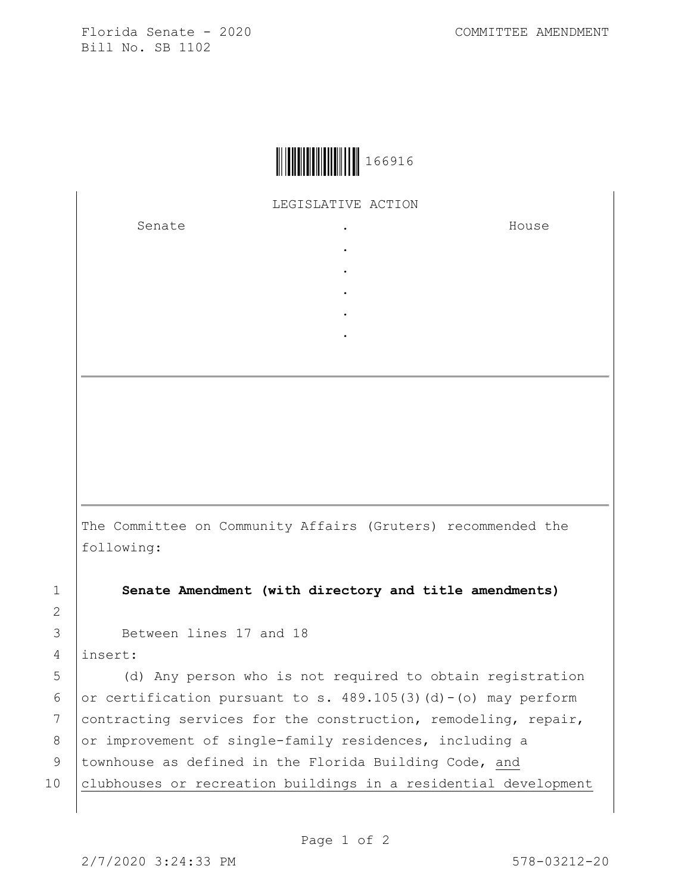Florida Senate - 2020 COMMITTEE AMENDMENT Bill No. SB 1102



LEGISLATIVE ACTION

. . . . .

Senate the senate of the senate of the senate of the senate of the senate of the senate of the senate  $\cdot$ 

House

The Committee on Community Affairs (Gruters) recommended the following:

1 **Senate Amendment (with directory and title amendments)**

3 Between lines 17 and 18

4 insert:

5 (d) Any person who is not required to obtain registration 6 or certification pursuant to s.  $489.105(3)(d) - (o)$  may perform 7 contracting services for the construction, remodeling, repair, 8 or improvement of single-family residences, including a 9 | townhouse as defined in the Florida Building Code, and 10 clubhouses or recreation buildings in a residential development

2